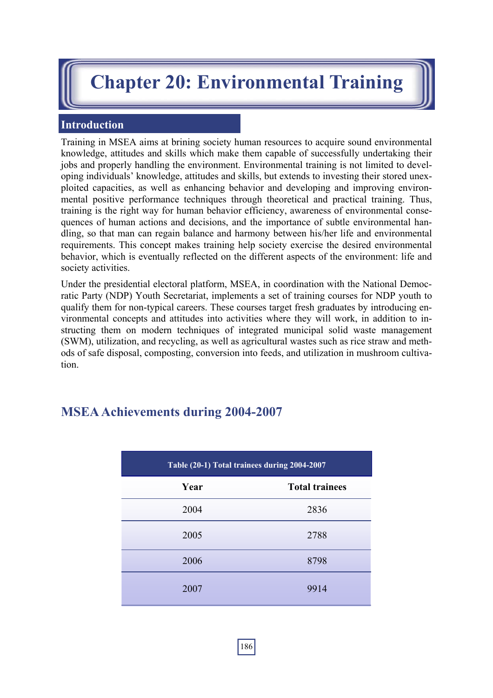# **Chapter 20: Environmental Training**

### **Introduction**

Training in MSEA aims at brining society human resources to acquire sound environmental knowledge, attitudes and skills which make them capable of successfully undertaking their jobs and properly handling the environment. Environmental training is not limited to developing individuals' knowledge, attitudes and skills, but extends to investing their stored unexploited capacities, as well as enhancing behavior and developing and improving environmental positive performance techniques through theoretical and practical training. Thus, training is the right way for human behavior efficiency, awareness of environmental consequences of human actions and decisions, and the importance of subtle environmental handling, so that man can regain balance and harmony between his/her life and environmental requirements. This concept makes training help society exercise the desired environmental behavior, which is eventually reflected on the different aspects of the environment: life and society activities.

Under the presidential electoral platform, MSEA, in coordination with the National Democratic Party (NDP) Youth Secretariat, implements a set of training courses for NDP youth to qualify them for non-typical careers. These courses target fresh graduates by introducing environmental concepts and attitudes into activities where they will work, in addition to instructing them on modern techniques of integrated municipal solid waste management (SWM), utilization, and recycling, as well as agricultural wastes such as rice straw and methods of safe disposal, composting, conversion into feeds, and utilization in mushroom cultivation.

## **MSEA Achievements during 2004-2007**

| Table (20-1) Total trainees during 2004-2007 |                       |
|----------------------------------------------|-----------------------|
| Year                                         | <b>Total trainees</b> |
| 2004                                         | 2836                  |
| 2005                                         | 2788                  |
| 2006                                         | 8798                  |
| 2007                                         | 9914                  |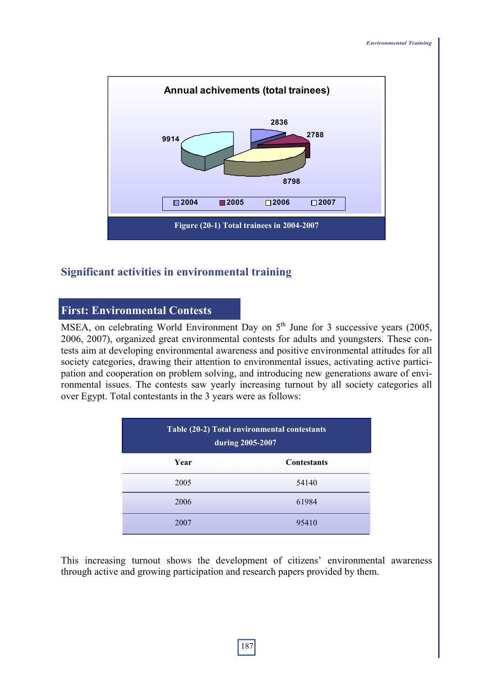

#### **Significant activities in environmental training**

#### **First: Environmental Contests**

MSEA, on celebrating World Environment Day on  $5<sup>th</sup>$  June for 3 successive years (2005, 2006, 2007), organized great environmental contests for adults and youngsters. These contests aim at developing environmental awareness and positive environmental attitudes for all society categories, drawing their attention to environmental issues, activating active participation and cooperation on problem solving, and introducing new generations aware of environmental issues. The contests saw yearly increasing turnout by all society categories all over Egypt. Total contestants in the 3 years were as follows:

| Table (20-2) Total environmental contestants<br>during 2005-2007 |                    |
|------------------------------------------------------------------|--------------------|
| Year                                                             | <b>Contestants</b> |
| 2005                                                             | 54140              |
| 2006                                                             | 61984              |
| 2007                                                             | 95410              |

This increasing turnout shows the development of citizens' environmental awareness through active and growing participation and research papers provided by them.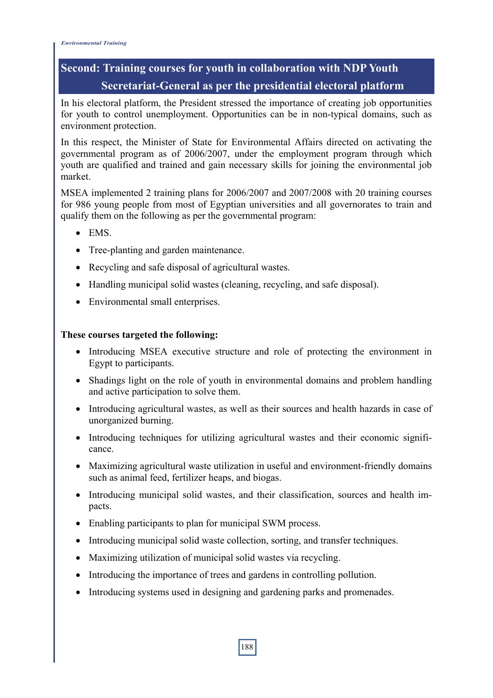## **Second: Training courses for youth in collaboration with NDP Youth Secretariat-General as per the presidential electoral platform**

In his electoral platform, the President stressed the importance of creating job opportunities for youth to control unemployment. Opportunities can be in non-typical domains, such as environment protection.

In this respect, the Minister of State for Environmental Affairs directed on activating the governmental program as of 2006/2007, under the employment program through which youth are qualified and trained and gain necessary skills for joining the environmental job market.

MSEA implemented 2 training plans for 2006/2007 and 2007/2008 with 20 training courses for 986 young people from most of Egyptian universities and all governorates to train and qualify them on the following as per the governmental program:

- EMS
- Tree-planting and garden maintenance.
- Recycling and safe disposal of agricultural wastes.
- Handling municipal solid wastes (cleaning, recycling, and safe disposal).
- Environmental small enterprises.

#### **These courses targeted the following:**

- Introducing MSEA executive structure and role of protecting the environment in Egypt to participants.
- Shadings light on the role of youth in environmental domains and problem handling and active participation to solve them.
- Introducing agricultural wastes, as well as their sources and health hazards in case of unorganized burning.
- Introducing techniques for utilizing agricultural wastes and their economic significance.
- Maximizing agricultural waste utilization in useful and environment-friendly domains such as animal feed, fertilizer heaps, and biogas.
- Introducing municipal solid wastes, and their classification, sources and health impacts.
- Enabling participants to plan for municipal SWM process.
- Introducing municipal solid waste collection, sorting, and transfer techniques.
- Maximizing utilization of municipal solid wastes via recycling.
- Introducing the importance of trees and gardens in controlling pollution.
- Introducing systems used in designing and gardening parks and promenades.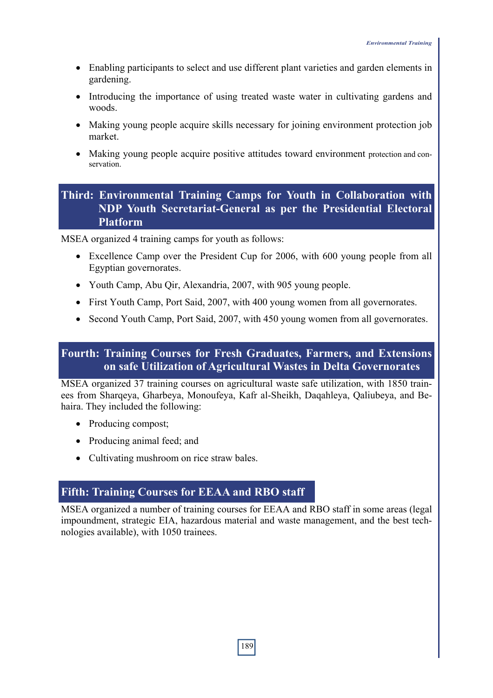- Enabling participants to select and use different plant varieties and garden elements in gardening.
- Introducing the importance of using treated waste water in cultivating gardens and woods.
- Making young people acquire skills necessary for joining environment protection job market.
- Making young people acquire positive attitudes toward environment protection and conservation.

## **Third: Environmental Training Camps for Youth in Collaboration with NDP Youth Secretariat-General as per the Presidential Electoral Platform**

MSEA organized 4 training camps for youth as follows:

- Excellence Camp over the President Cup for 2006, with 600 young people from all Egyptian governorates.
- Youth Camp, Abu Qir, Alexandria, 2007, with 905 young people.
- First Youth Camp, Port Said, 2007, with 400 young women from all governorates.
- Second Youth Camp, Port Said, 2007, with 450 young women from all governorates.

## **Fourth: Training Courses for Fresh Graduates, Farmers, and Extensions on safe Utilization of Agricultural Wastes in Delta Governorates**

MSEA organized 37 training courses on agricultural waste safe utilization, with 1850 trainees from Sharqeya, Gharbeya, Monoufeya, Kafr al-Sheikh, Daqahleya, Qaliubeya, and Behaira. They included the following:

- Producing compost;
- Producing animal feed; and
- Cultivating mushroom on rice straw bales.

## **Fifth: Training Courses for EEAA and RBO staff**

MSEA organized a number of training courses for EEAA and RBO staff in some areas (legal impoundment, strategic EIA, hazardous material and waste management, and the best technologies available), with 1050 trainees.